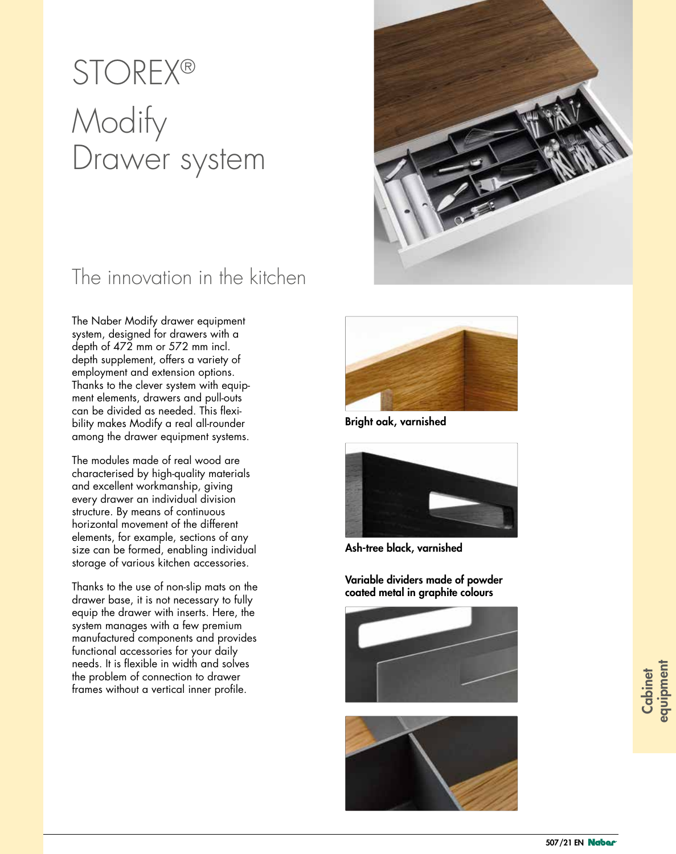# **STOREX®** Modify Drawer system

### The innovation in the kitchen

The Naber Modify drawer equipment system, designed for drawers with a depth of 472 mm or 572 mm incl. depth supplement, offers a variety of employment and extension options. Thanks to the clever system with equipment elements, drawers and pull-outs can be divided as needed. This flexibility makes Modify a real all-rounder among the drawer equipment systems.

The modules made of real wood are characterised by high-quality materials and excellent workmanship, giving every drawer an individual division structure. By means of continuous horizontal movement of the different elements, for example, sections of any size can be formed, enabling individual storage of various kitchen accessories.

Thanks to the use of non-slip mats on the drawer base, it is not necessary to fully equip the drawer with inserts. Here, the system manages with a few premium manufactured components and provides functional accessories for your daily needs. It is flexible in width and solves the problem of connection to drawer frames without a vertical inner profile.



Bright oak, varnished



Ash-tree black, varnished

Variable dividers made of powder coated metal in graphite colours